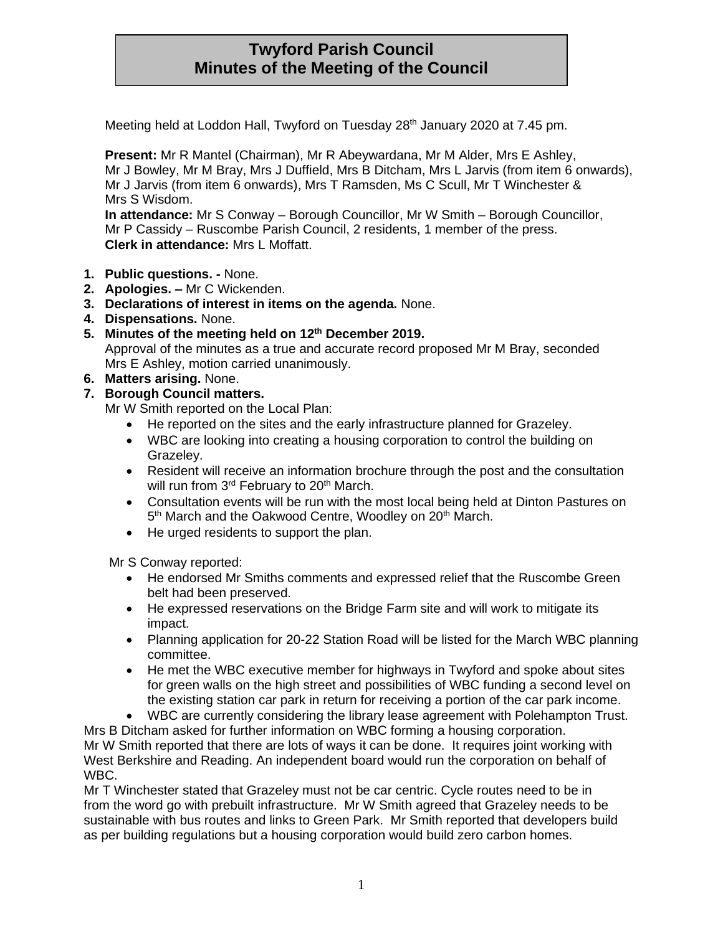# **Twyford Parish Council Minutes of the Meeting of the Council**

Meeting held at Loddon Hall, Twyford on Tuesday 28<sup>th</sup> January 2020 at 7.45 pm.

**Present:** Mr R Mantel (Chairman), Mr R Abeywardana, Mr M Alder, Mrs E Ashley, Mr J Bowley, Mr M Bray, Mrs J Duffield, Mrs B Ditcham, Mrs L Jarvis (from item 6 onwards), Mr J Jarvis (from item 6 onwards), Mrs T Ramsden, Ms C Scull, Mr T Winchester & Mrs S Wisdom.

**In attendance:** Mr S Conway – Borough Councillor, Mr W Smith – Borough Councillor, Mr P Cassidy – Ruscombe Parish Council, 2 residents, 1 member of the press. **Clerk in attendance:** Mrs L Moffatt.

- **1. Public questions. -** None.
- **2. Apologies. –** Mr C Wickenden.
- **3. Declarations of interest in items on the agenda.** None.
- **4. Dispensations.** None.
- **5. Minutes of the meeting held on 12th December 2019.** Approval of the minutes as a true and accurate record proposed Mr M Bray, seconded Mrs E Ashley, motion carried unanimously.
- **6. Matters arising.** None.

#### **7. Borough Council matters.**

- Mr W Smith reported on the Local Plan:
	- He reported on the sites and the early infrastructure planned for Grazeley.
	- WBC are looking into creating a housing corporation to control the building on Grazeley.
	- Resident will receive an information brochure through the post and the consultation will run from 3<sup>rd</sup> February to 20<sup>th</sup> March.
	- Consultation events will be run with the most local being held at Dinton Pastures on 5<sup>th</sup> March and the Oakwood Centre, Woodley on 20<sup>th</sup> March.
	- He urged residents to support the plan.

Mr S Conway reported:

- He endorsed Mr Smiths comments and expressed relief that the Ruscombe Green belt had been preserved.
- He expressed reservations on the Bridge Farm site and will work to mitigate its impact.
- Planning application for 20-22 Station Road will be listed for the March WBC planning committee.
- He met the WBC executive member for highways in Twyford and spoke about sites for green walls on the high street and possibilities of WBC funding a second level on the existing station car park in return for receiving a portion of the car park income.
- WBC are currently considering the library lease agreement with Polehampton Trust.

Mrs B Ditcham asked for further information on WBC forming a housing corporation. Mr W Smith reported that there are lots of ways it can be done. It requires joint working with West Berkshire and Reading. An independent board would run the corporation on behalf of WBC.

Mr T Winchester stated that Grazeley must not be car centric. Cycle routes need to be in from the word go with prebuilt infrastructure. Mr W Smith agreed that Grazeley needs to be sustainable with bus routes and links to Green Park. Mr Smith reported that developers build as per building regulations but a housing corporation would build zero carbon homes.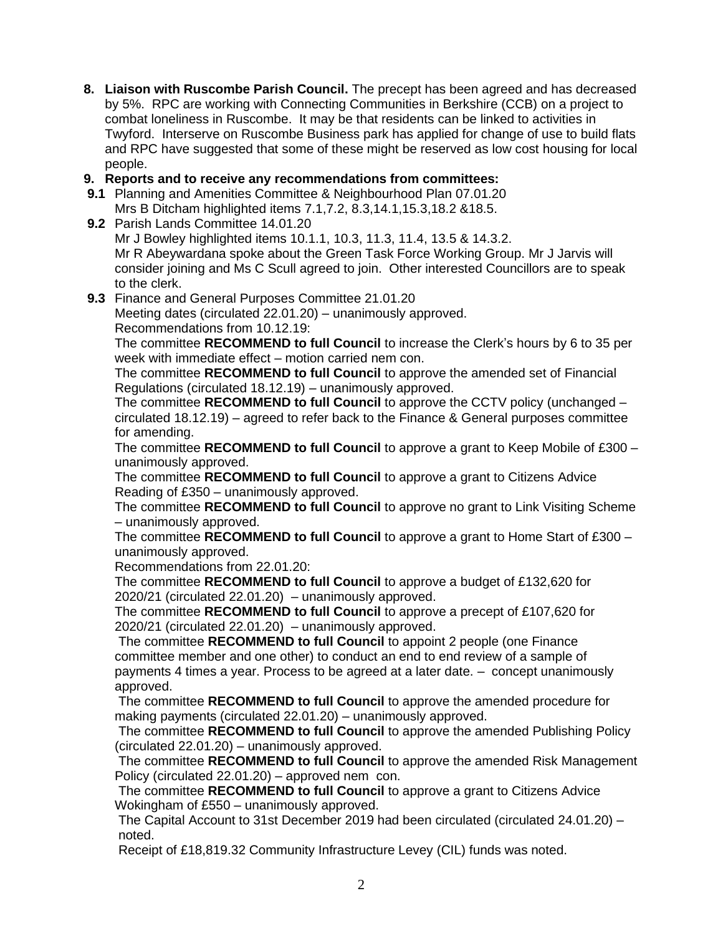**8. Liaison with Ruscombe Parish Council.** The precept has been agreed and has decreased by 5%. RPC are working with Connecting Communities in Berkshire (CCB) on a project to combat loneliness in Ruscombe. It may be that residents can be linked to activities in Twyford. Interserve on Ruscombe Business park has applied for change of use to build flats and RPC have suggested that some of these might be reserved as low cost housing for local people.

## **9. Reports and to receive any recommendations from committees:**

**9.1** Planning and Amenities Committee & Neighbourhood Plan 07.01.20 Mrs B Ditcham highlighted items 7.1,7.2, 8.3,14.1,15.3,18.2 &18.5.

**9.2** Parish Lands Committee 14.01.20 Mr J Bowley highlighted items 10.1.1, 10.3, 11.3, 11.4, 13.5 & 14.3.2. Mr R Abeywardana spoke about the Green Task Force Working Group. Mr J Jarvis will consider joining and Ms C Scull agreed to join. Other interested Councillors are to speak to the clerk.

**9.3** Finance and General Purposes Committee 21.01.20

Meeting dates (circulated 22.01.20) – unanimously approved. Recommendations from 10.12.19:

The committee **RECOMMEND to full Council** to increase the Clerk's hours by 6 to 35 per week with immediate effect – motion carried nem con.

The committee **RECOMMEND to full Council** to approve the amended set of Financial Regulations (circulated 18.12.19) – unanimously approved.

The committee **RECOMMEND to full Council** to approve the CCTV policy (unchanged – circulated 18.12.19) – agreed to refer back to the Finance & General purposes committee for amending.

The committee **RECOMMEND to full Council** to approve a grant to Keep Mobile of £300 – unanimously approved.

The committee **RECOMMEND to full Council** to approve a grant to Citizens Advice Reading of £350 – unanimously approved.

The committee **RECOMMEND to full Council** to approve no grant to Link Visiting Scheme – unanimously approved.

The committee **RECOMMEND to full Council** to approve a grant to Home Start of £300 – unanimously approved.

Recommendations from 22.01.20:

The committee **RECOMMEND to full Council** to approve a budget of £132,620 for 2020/21 (circulated 22.01.20) – unanimously approved.

The committee **RECOMMEND to full Council** to approve a precept of £107,620 for 2020/21 (circulated 22.01.20) – unanimously approved.

The committee **RECOMMEND to full Council** to appoint 2 people (one Finance committee member and one other) to conduct an end to end review of a sample of payments 4 times a year. Process to be agreed at a later date. – concept unanimously approved.

The committee **RECOMMEND to full Council** to approve the amended procedure for making payments (circulated 22.01.20) – unanimously approved.

The committee **RECOMMEND to full Council** to approve the amended Publishing Policy (circulated 22.01.20) – unanimously approved.

The committee **RECOMMEND to full Council** to approve the amended Risk Management Policy (circulated 22.01.20) – approved nem con.

The committee **RECOMMEND to full Council** to approve a grant to Citizens Advice Wokingham of £550 – unanimously approved.

The Capital Account to 31st December 2019 had been circulated (circulated 24.01.20) – noted.

Receipt of £18,819.32 Community Infrastructure Levey (CIL) funds was noted.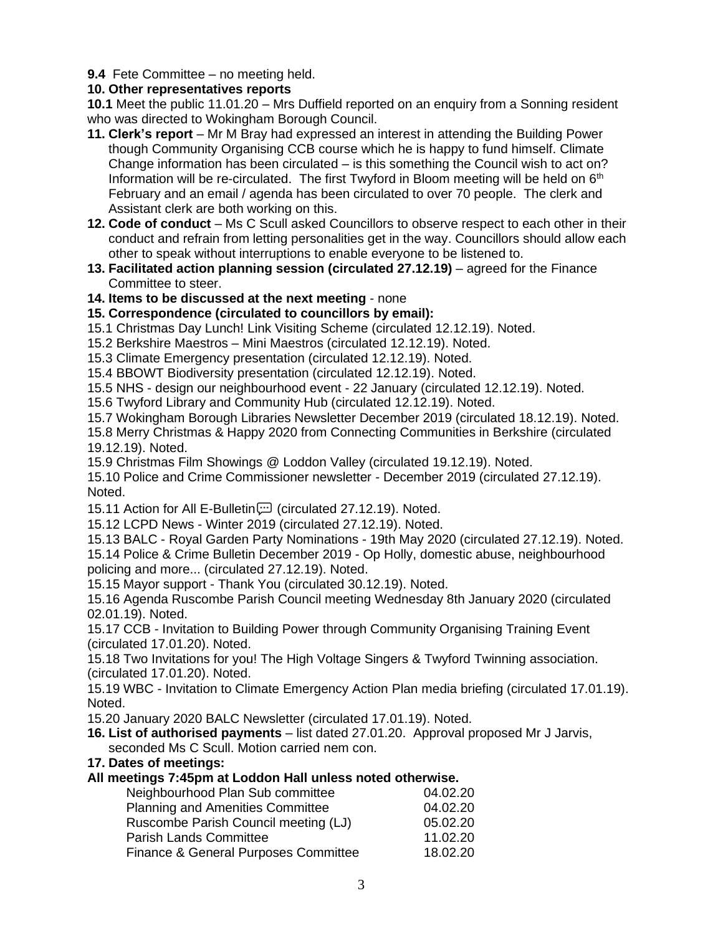**9.4** Fete Committee – no meeting held.

# **10. Other representatives reports**

**10.1** Meet the public 11.01.20 – Mrs Duffield reported on an enquiry from a Sonning resident who was directed to Wokingham Borough Council.

- **11. Clerk's report** Mr M Bray had expressed an interest in attending the Building Power though Community Organising CCB course which he is happy to fund himself. Climate Change information has been circulated – is this something the Council wish to act on? Information will be re-circulated. The first Twyford in Bloom meeting will be held on  $6<sup>th</sup>$ February and an email / agenda has been circulated to over 70 people. The clerk and Assistant clerk are both working on this.
- **12. Code of conduct** Ms C Scull asked Councillors to observe respect to each other in their conduct and refrain from letting personalities get in the way. Councillors should allow each other to speak without interruptions to enable everyone to be listened to.
- **13. Facilitated action planning session (circulated 27.12.19)** agreed for the Finance Committee to steer.

## **14. Items to be discussed at the next meeting** - none

## **15. Correspondence (circulated to councillors by email):**

15.1 Christmas Day Lunch! Link Visiting Scheme (circulated 12.12.19). Noted.

15.2 Berkshire Maestros – Mini Maestros (circulated 12.12.19). Noted.

15.3 Climate Emergency presentation (circulated 12.12.19). Noted.

15.4 BBOWT Biodiversity presentation (circulated 12.12.19). Noted.

15.5 NHS - design our neighbourhood event - 22 January (circulated 12.12.19). Noted.

15.6 Twyford Library and Community Hub (circulated 12.12.19). Noted.

15.7 Wokingham Borough Libraries Newsletter December 2019 (circulated 18.12.19). Noted.

15.8 Merry Christmas & Happy 2020 from Connecting Communities in Berkshire (circulated 19.12.19). Noted.

15.9 Christmas Film Showings @ Loddon Valley (circulated 19.12.19). Noted.

15.10 Police and Crime Commissioner newsletter - December 2019 (circulated 27.12.19). Noted.

15.11 Action for All E-Bulletin [11] (circulated 27.12.19). Noted.

15.12 LCPD News - Winter 2019 (circulated 27.12.19). Noted.

15.13 BALC - Royal Garden Party Nominations - 19th May 2020 (circulated 27.12.19). Noted.

15.14 Police & Crime Bulletin December 2019 - Op Holly, domestic abuse, neighbourhood policing and more... (circulated 27.12.19). Noted.

15.15 Mayor support - Thank You (circulated 30.12.19). Noted.

15.16 Agenda Ruscombe Parish Council meeting Wednesday 8th January 2020 (circulated 02.01.19). Noted.

15.17 CCB - Invitation to Building Power through Community Organising Training Event (circulated 17.01.20). Noted.

15.18 Two Invitations for you! The High Voltage Singers & Twyford Twinning association. (circulated 17.01.20). Noted.

15.19 WBC - Invitation to Climate Emergency Action Plan media briefing (circulated 17.01.19). Noted.

15.20 January 2020 BALC Newsletter (circulated 17.01.19). Noted.

**16. List of authorised payments** – list dated 27.01.20. Approval proposed Mr J Jarvis, seconded Ms C Scull. Motion carried nem con.

## **17. Dates of meetings:**

## **All meetings 7:45pm at Loddon Hall unless noted otherwise.**

| 04.02.20 |
|----------|
| 04.02.20 |
| 05.02.20 |
| 11.02.20 |
| 18.02.20 |
|          |